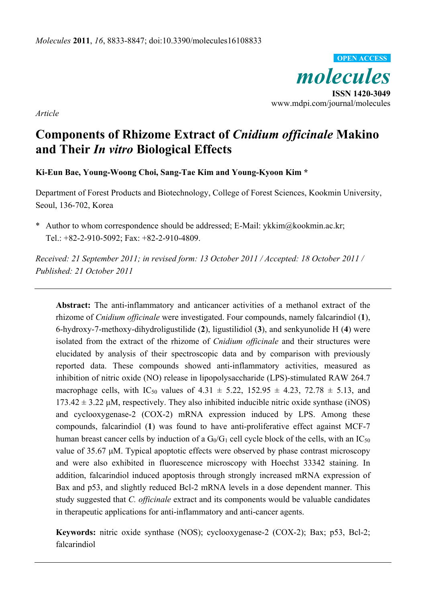*molecules*  **ISSN 1420-3049**  www.mdpi.com/journal/molecules **OPEN ACCESS**

*Article* 

# **Components of Rhizome Extract of** *Cnidium officinale* **Makino and Their** *In vitro* **Biological Effects**

**Ki-Eun Bae, Young-Woong Choi, Sang-Tae Kim and Young-Kyoon Kim \*** 

Department of Forest Products and Biotechnology, College of Forest Sciences, Kookmin University, Seoul, 136-702, Korea

\* Author to whom correspondence should be addressed; E-Mail: ykkim@kookmin.ac.kr; Tel.: +82-2-910-5092; Fax: +82-2-910-4809.

*Received: 21 September 2011; in revised form: 13 October 2011 / Accepted: 18 October 2011 / Published: 21 October 2011* 

**Abstract:** The anti-inflammatory and anticancer activities of a methanol extract of the rhizome of *Cnidium officinale* were investigated. Four compounds, namely falcarindiol (**1**), 6-hydroxy-7-methoxy-dihydroligustilide (**2**), ligustilidiol (**3**), and senkyunolide H (**4**) were isolated from the extract of the rhizome of *Cnidium officinale* and their structures were elucidated by analysis of their spectroscopic data and by comparison with previously reported data. These compounds showed anti-inflammatory activities, measured as inhibition of nitric oxide (NO) release in lipopolysaccharide (LPS)-stimulated RAW 264.7 macrophage cells, with IC<sub>50</sub> values of 4.31  $\pm$  5.22, 152.95  $\pm$  4.23, 72.78  $\pm$  5.13, and  $173.42 \pm 3.22$  μM, respectively. They also inhibited inducible nitric oxide synthase (iNOS) and cyclooxygenase-2 (COX-2) mRNA expression induced by LPS. Among these compounds, falcarindiol (**1**) was found to have anti-proliferative effect against MCF-7 human breast cancer cells by induction of a  $G_0/G_1$  cell cycle block of the cells, with an  $IC_{50}$ value of 35.67 μM. Typical apoptotic effects were observed by phase contrast microscopy and were also exhibited in fluorescence microscopy with Hoechst 33342 staining. In addition, falcarindiol induced apoptosis through strongly increased mRNA expression of Bax and p53, and slightly reduced Bcl-2 mRNA levels in a dose dependent manner. This study suggested that *C. officinale* extract and its components would be valuable candidates in therapeutic applications for anti-inflammatory and anti-cancer agents.

**Keywords:** nitric oxide synthase (NOS); cyclooxygenase-2 (COX-2); Bax; p53, Bcl-2; falcarindiol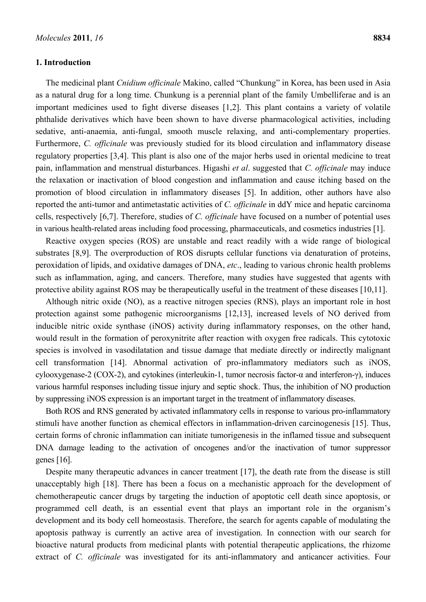#### **1. Introduction**

The medicinal plant *Cnidium officinale* Makino, called "Chunkung" in Korea, has been used in Asia as a natural drug for a long time. Chunkung is a perennial plant of the family Umbelliferae and is an important medicines used to fight diverse diseases [1,2]. This plant contains a variety of volatile phthalide derivatives which have been shown to have diverse pharmacological activities, including sedative, anti-anaemia, anti-fungal, smooth muscle relaxing, and anti-complementary properties. Furthermore, *C. officinale* was previously studied for its blood circulation and inflammatory disease regulatory properties [3,4]. This plant is also one of the major herbs used in oriental medicine to treat pain, inflammation and menstrual disturbances. Higashi *et al*. suggested that *C. officinale* may induce the relaxation or inactivation of blood congestion and inflammation and cause itching based on the promotion of blood circulation in inflammatory diseases [5]. In addition, other authors have also reported the anti-tumor and antimetastatic activities of *C. officinale* in ddY mice and hepatic carcinoma cells, respectively [6,7]. Therefore, studies of *C. officinale* have focused on a number of potential uses in various health-related areas including food processing, pharmaceuticals, and cosmetics industries [1].

Reactive oxygen species (ROS) are unstable and react readily with a wide range of biological substrates [8,9]. The overproduction of ROS disrupts cellular functions via denaturation of proteins, peroxidation of lipids, and oxidative damages of DNA, *etc*., leading to various chronic health problems such as inflammation, aging, and cancers. Therefore, many studies have suggested that agents with protective ability against ROS may be therapeutically useful in the treatment of these diseases [10,11].

Although nitric oxide (NO), as a reactive nitrogen species (RNS), plays an important role in host protection against some pathogenic microorganisms [12,13], increased levels of NO derived from inducible nitric oxide synthase (iNOS) activity during inflammatory responses, on the other hand, would result in the formation of peroxynitrite after reaction with oxygen free radicals. This cytotoxic species is involved in vasodilatation and tissue damage that mediate directly or indirectly malignant cell transformation [14]. Abnormal activation of pro-inflammatory mediators such as iNOS, cylooxygenase-2 (COX-2), and cytokines (interleukin-1, tumor necrosis factor-α and interferon-γ), induces various harmful responses including tissue injury and septic shock. Thus, the inhibition of NO production by suppressing iNOS expression is an important target in the treatment of inflammatory diseases.

Both ROS and RNS generated by activated inflammatory cells in response to various pro-inflammatory stimuli have another function as chemical effectors in inflammation-driven carcinogenesis [15]. Thus, certain forms of chronic inflammation can initiate tumorigenesis in the inflamed tissue and subsequent DNA damage leading to the activation of oncogenes and/or the inactivation of tumor suppressor genes [16].

Despite many therapeutic advances in cancer treatment [17], the death rate from the disease is still unacceptably high [18]. There has been a focus on a mechanistic approach for the development of chemotherapeutic cancer drugs by targeting the induction of apoptotic cell death since apoptosis, or programmed cell death, is an essential event that plays an important role in the organism's development and its body cell homeostasis. Therefore, the search for agents capable of modulating the apoptosis pathway is currently an active area of investigation. In connection with our search for bioactive natural products from medicinal plants with potential therapeutic applications, the rhizome extract of *C. officinale* was investigated for its anti-inflammatory and anticancer activities. Four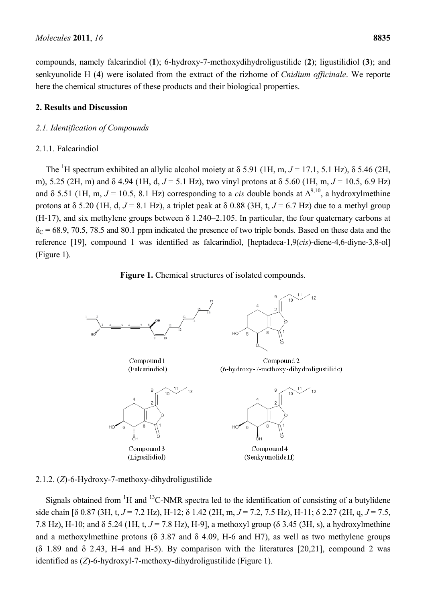compounds, namely falcarindiol (**1**); 6-hydroxy-7-methoxydihydroligustilide (**2**); ligustilidiol (**3**); and senkyunolide H (**4**) were isolated from the extract of the rizhome of *Cnidium officinale*. We reporte here the chemical structures of these products and their biological properties.

# **2. Results and Discussion**

# *2.1. Identification of Compounds*

# 2.1.1. Falcarindiol

The <sup>1</sup>H spectrum exhibited an allylic alcohol moiety at  $\delta$  5.91 (1H, m, *J* = 17.1, 5.1 Hz),  $\delta$  5.46 (2H, m), 5.25 (2H, m) and δ 4.94 (1H, d, *J* = 5.1 Hz), two vinyl protons at δ 5.60 (1H, m, *J* = 10.5, 6.9 Hz) and  $\delta$  5.51 (1H, m,  $J = 10.5$ , 8.1 Hz) corresponding to a *cis* double bonds at  $\Delta^{9,10}$ , a hydroxylmethine protons at  $\delta$  5.20 (1H, d,  $J = 8.1$  Hz), a triplet peak at  $\delta$  0.88 (3H, t,  $J = 6.7$  Hz) due to a methyl group  $(H-17)$ , and six methylene groups between  $\delta$  1.240–2.105. In particular, the four quaternary carbons at  $\delta_c$  = 68.9, 70.5, 78.5 and 80.1 ppm indicated the presence of two triple bonds. Based on these data and the reference [19], compound 1 was identified as falcarindiol, [heptadeca-1,9(*cis*)-diene-4,6-diyne-3,8-ol] (Figure 1).





# 2.1.2. (*Z*)-6-Hydroxy-7-methoxy-dihydroligustilide

Signals obtained from  ${}^{1}H$  and  ${}^{13}C$ -NMR spectra led to the identification of consisting of a butylidene side chain [δ 0.87 (3H, t, *J* = 7.2 Hz), H-12; δ 1.42 (2H, m, *J* = 7.2, 7.5 Hz), H-11; δ 2.27 (2H, q, *J* = 7.5, 7.8 Hz), H-10; and δ 5.24 (1H, t, *J* = 7.8 Hz), H-9], a methoxyl group (δ 3.45 (3H, s), a hydroxylmethine and a methoxylmethine protons ( $\delta$  3.87 and  $\delta$  4.09, H-6 and H7), as well as two methylene groups (δ 1.89 and δ 2.43, H-4 and H-5). By comparison with the literatures [20,21], compound 2 was identified as (*Z*)-6-hydroxyl-7-methoxy-dihydroligustilide (Figure 1).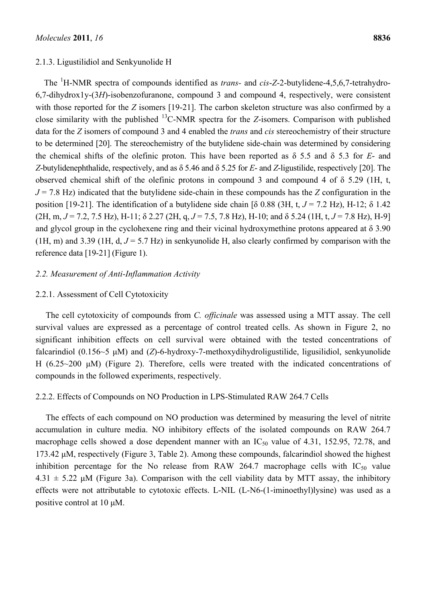#### 2.1.3. Ligustilidiol and Senkyunolide H

The <sup>1</sup>H-NMR spectra of compounds identified as *trans*- and *cis-Z*-2-butylidene-4,5,6,7-tetrahydro-6,7-dihydrox1y-(3*H*)-isobenzofuranone, compound 3 and compound 4, respectively, were consistent with those reported for the *Z* isomers [19-21]. The carbon skeleton structure was also confirmed by a close similarity with the published 13C-NMR spectra for the *Z*-isomers. Comparison with published data for the *Z* isomers of compound 3 and 4 enabled the *trans* and *cis* stereochemistry of their structure to be determined [20]. The stereochemistry of the butylidene side-chain was determined by considering the chemical shifts of the olefinic proton. This have been reported as δ 5.5 and δ 5.3 for *E*- and *Z*-butylidenephthalide, respectively, and as δ 5.46 and δ 5.25 for *E*- and *Z*-ligustilide, respectively [20]. The observed chemical shift of the olefinic protons in compound 3 and compound 4 of δ 5.29 (1H, t,  $J = 7.8$  Hz) indicated that the butylidene side-chain in these compounds has the *Z* configuration in the position [19-21]. The identification of a butylidene side chain [δ 0.88 (3H, t,  $J = 7.2$  Hz), H-12; δ 1.42 (2H, m,  $J = 7.2$ , 7.5 Hz), H-11;  $\delta$  2.27 (2H, g,  $J = 7.5$ , 7.8 Hz), H-10; and  $\delta$  5.24 (1H, t,  $J = 7.8$  Hz), H-9] and glycol group in the cyclohexene ring and their vicinal hydroxymethine protons appeared at  $\delta$  3.90 (1H, m) and 3.39 (1H, d,  $J = 5.7$  Hz) in senkyunolide H, also clearly confirmed by comparison with the reference data [19-21] (Figure 1).

## *2.2. Measurement of Anti-Inflammation Activity*

#### 2.2.1. Assessment of Cell Cytotoxicity

The cell cytotoxicity of compounds from *C. officinale* was assessed using a MTT assay. The cell survival values are expressed as a percentage of control treated cells. As shown in Figure 2, no significant inhibition effects on cell survival were obtained with the tested concentrations of falcarindiol (0.156~5 μM) and (*Z*)-6-hydroxy-7-methoxydihydroligustilide, ligusilidiol, senkyunolide H (6.25~200 μM) (Figure 2). Therefore, cells were treated with the indicated concentrations of compounds in the followed experiments, respectively.

## 2.2.2. Effects of Compounds on NO Production in LPS-Stimulated RAW 264.7 Cells

The effects of each compound on NO production was determined by measuring the level of nitrite accumulation in culture media. NO inhibitory effects of the isolated compounds on RAW 264.7 macrophage cells showed a dose dependent manner with an  $IC_{50}$  value of 4.31, 152.95, 72.78, and 173.42 μM, respectively (Figure 3, Table 2). Among these compounds, falcarindiol showed the highest inhibition percentage for the No release from RAW 264.7 macrophage cells with  $IC_{50}$  value  $4.31 \pm 5.22$  μM (Figure 3a). Comparison with the cell viability data by MTT assay, the inhibitory effects were not attributable to cytotoxic effects. L-NIL (L-N6-(1-iminoethyl)lysine) was used as a positive control at 10 μM.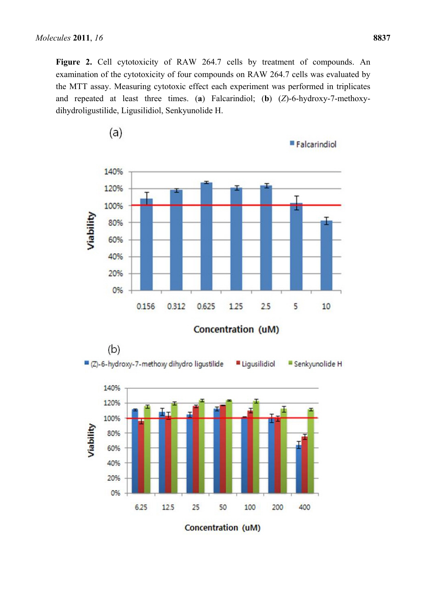**Figure 2.** Cell cytotoxicity of RAW 264.7 cells by treatment of compounds. An examination of the cytotoxicity of four compounds on RAW 264.7 cells was evaluated by the MTT assay. Measuring cytotoxic effect each experiment was performed in triplicates and repeated at least three times. (**a**) Falcarindiol; (**b**) (*Z*)-6-hydroxy-7-methoxydihydroligustilide, Ligusilidiol, Senkyunolide H.



 $(a)$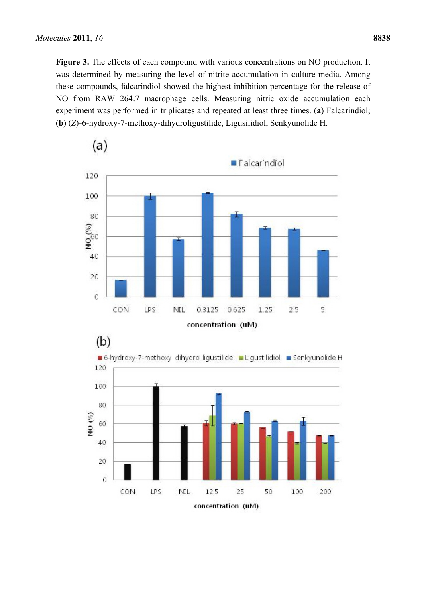**Figure 3.** The effects of each compound with various concentrations on NO production. It was determined by measuring the level of nitrite accumulation in culture media. Among these compounds, falcarindiol showed the highest inhibition percentage for the release of NO from RAW 264.7 macrophage cells. Measuring nitric oxide accumulation each experiment was performed in triplicates and repeated at least three times. (**a**) Falcarindiol; (**b**) (*Z*)-6-hydroxy-7-methoxy-dihydroligustilide, Ligusilidiol, Senkyunolide H.

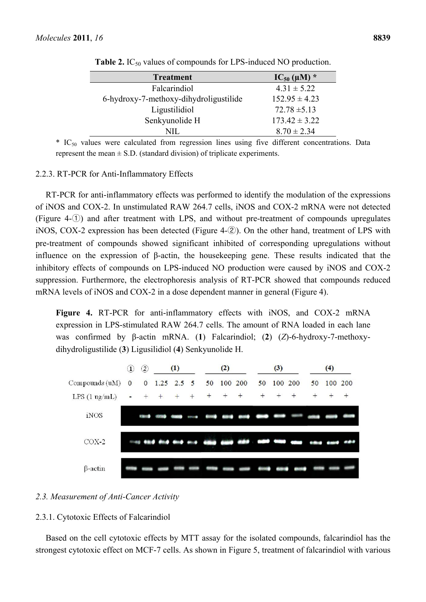| <b>Treatment</b>                       | $IC_{50} (\mu M)^*$ |
|----------------------------------------|---------------------|
| Falcarindiol                           | $4.31 \pm 5.22$     |
| 6-hydroxy-7-methoxy-dihydroligustilide | $152.95 \pm 4.23$   |
| Ligustilidiol                          | $72.78 \pm 5.13$    |
| Senkyunolide H                         | $173.42 \pm 3.22$   |
| NH.                                    | $8.70 \pm 2.34$     |

**Table 2.** IC<sub>50</sub> values of compounds for LPS-induced NO production.

 $*$  IC<sub>50</sub> values were calculated from regression lines using five different concentrations. Data represent the mean  $\pm$  S.D. (standard division) of triplicate experiments.

## 2.2.3. RT-PCR for Anti-Inflammatory Effects

RT-PCR for anti-inflammatory effects was performed to identify the modulation of the expressions of iNOS and COX-2. In unstimulated RAW 264.7 cells, iNOS and COX-2 mRNA were not detected (Figure 4-①) and after treatment with LPS, and without pre-treatment of compounds upregulates iNOS, COX-2 expression has been detected (Figure 4-②). On the other hand, treatment of LPS with pre-treatment of compounds showed significant inhibited of corresponding upregulations without influence on the expression of β-actin, the housekeeping gene. These results indicated that the inhibitory effects of compounds on LPS-induced NO production were caused by iNOS and COX-2 suppression. Furthermore, the electrophoresis analysis of RT-PCR showed that compounds reduced mRNA levels of iNOS and COX-2 in a dose dependent manner in general (Figure 4).

**Figure 4.** RT-PCR for anti-inflammatory effects with iNOS, and COX-2 mRNA expression in LPS-stimulated RAW 264.7 cells. The amount of RNA loaded in each lane was confirmed by β-actin mRNA. (**1**) Falcarindiol; (**2**) (*Z*)-6-hydroxy-7-methoxydihydroligustilide (**3**) Ligusilidiol (**4**) Senkyunolide H.



#### *2.3. Measurement of Anti-Cancer Activity*

#### 2.3.1. Cytotoxic Effects of Falcarindiol

Based on the cell cytotoxic effects by MTT assay for the isolated compounds, falcarindiol has the strongest cytotoxic effect on MCF-7 cells. As shown in Figure 5, treatment of falcarindiol with various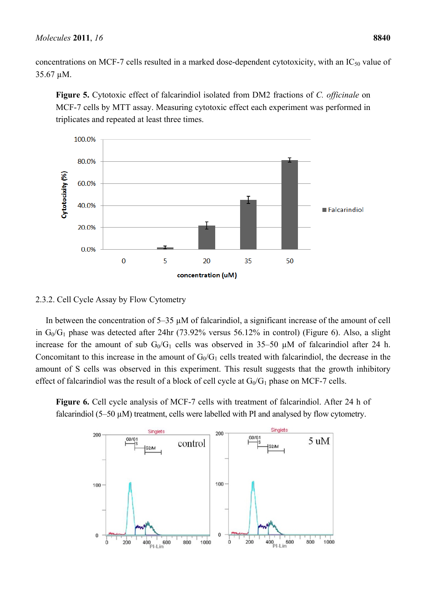concentrations on MCF-7 cells resulted in a marked dose-dependent cytotoxicity, with an  $IC_{50}$  value of 35.67 µM.

**Figure 5.** Cytotoxic effect of falcarindiol isolated from DM2 fractions of *C. officinale* on MCF-7 cells by MTT assay. Measuring cytotoxic effect each experiment was performed in triplicates and repeated at least three times.



# 2.3.2. Cell Cycle Assay by Flow Cytometry

In between the concentration of 5–35  $\mu$ M of falcarindiol, a significant increase of the amount of cell in G0/G1 phase was detected after 24hr (73.92% versus 56.12% in control) (Figure 6). Also, a slight increase for the amount of sub  $G_0/G_1$  cells was observed in 35–50 µM of falcarindiol after 24 h. Concomitant to this increase in the amount of  $G_0/G_1$  cells treated with falcarindiol, the decrease in the amount of S cells was observed in this experiment. This result suggests that the growth inhibitory effect of falcarindiol was the result of a block of cell cycle at  $G_0/G_1$  phase on MCF-7 cells.

**Figure 6.** Cell cycle analysis of MCF-7 cells with treatment of falcarindiol. After 24 h of falcarindiol (5–50 µM) treatment, cells were labelled with PI and analysed by flow cytometry.

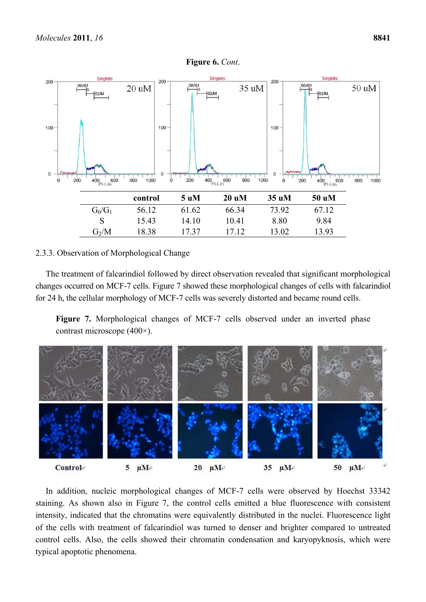

#### **Figure 6.** *Cont*.

## 2.3.3. Observation of Morphological Change

The treatment of falcarindiol followed by direct observation revealed that significant morphological changes occurred on MCF-7 cells. Figure 7 showed these morphological changes of cells with falcarindiol for 24 h, the cellular morphology of MCF-7 cells was severely distorted and became round cells.

**Figure 7.** Morphological changes of MCF-7 cells observed under an inverted phase contrast microscope (400×).



In addition, nucleic morphological changes of MCF-7 cells were observed by Hoechst 33342 staining. As shown also in Figure 7, the control cells emitted a blue fluorescence with consistent intensity, indicated that the chromatins were equivalently distributed in the nuclei. Fluorescence light of the cells with treatment of falcarindiol was turned to denser and brighter compared to untreated control cells. Also, the cells showed their chromatin condensation and karyopyknosis, which were typical apoptotic phenomena.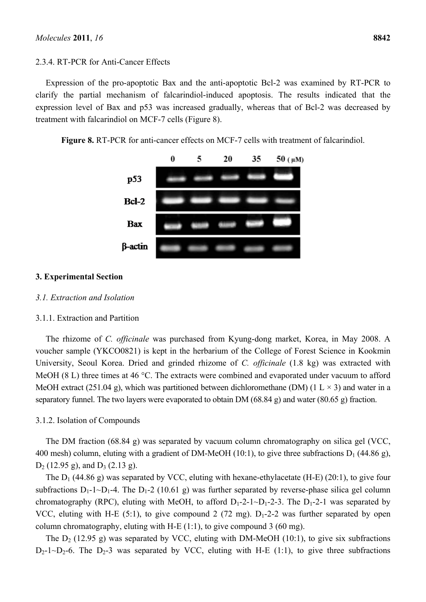## 2.3.4. RT-PCR for Anti-Cancer Effects

Expression of the pro-apoptotic Bax and the anti-apoptotic Bcl-2 was examined by RT-PCR to clarify the partial mechanism of falcarindiol-induced apoptosis. The results indicated that the expression level of Bax and p53 was increased gradually, whereas that of Bcl-2 was decreased by treatment with falcarindiol on MCF-7 cells (Figure 8).

**Figure 8.** RT-PCR for anti-cancer effects on MCF-7 cells with treatment of falcarindiol.



## **3. Experimental Section**

#### *3.1. Extraction and Isolation*

## 3.1.1. Extraction and Partition

The rhizome of *C. officinale* was purchased from Kyung-dong market, Korea, in May 2008. A voucher sample (YKCO0821) is kept in the herbarium of the College of Forest Science in Kookmin University, Seoul Korea. Dried and grinded rhizome of *C. officinale* (1.8 kg) was extracted with MeOH (8 L) three times at 46 °C. The extracts were combined and evaporated under vacuum to afford MeOH extract (251.04 g), which was partitioned between dichloromethane (DM) (1 L  $\times$  3) and water in a separatory funnel. The two layers were evaporated to obtain DM (68.84 g) and water (80.65 g) fraction.

#### 3.1.2. Isolation of Compounds

The DM fraction (68.84 g) was separated by vacuum column chromatography on silica gel (VCC, 400 mesh) column, eluting with a gradient of DM-MeOH (10:1), to give three subfractions  $D_1$  (44.86 g),  $D_2$  (12.95 g), and  $D_3$  (2.13 g).

The  $D_1$  (44.86 g) was separated by VCC, eluting with hexane-ethylacetate (H-E) (20:1), to give four subfractions  $D_1$ -1~ $D_1$ -4. The  $D_1$ -2 (10.61 g) was further separated by reverse-phase silica gel column chromatography (RPC), eluting with MeOH, to afford  $D_1-2-1-D_1-2-3$ . The  $D_1-2-1$  was separated by VCC, eluting with H-E (5:1), to give compound 2 (72 mg).  $D_1-2-2$  was further separated by open column chromatography, eluting with H-E  $(1:1)$ , to give compound 3 (60 mg).

The  $D_2$  (12.95 g) was separated by VCC, eluting with DM-MeOH (10:1), to give six subfractions  $D_2$ -1~ $D_2$ -6. The  $D_2$ -3 was separated by VCC, eluting with H-E (1:1), to give three subfractions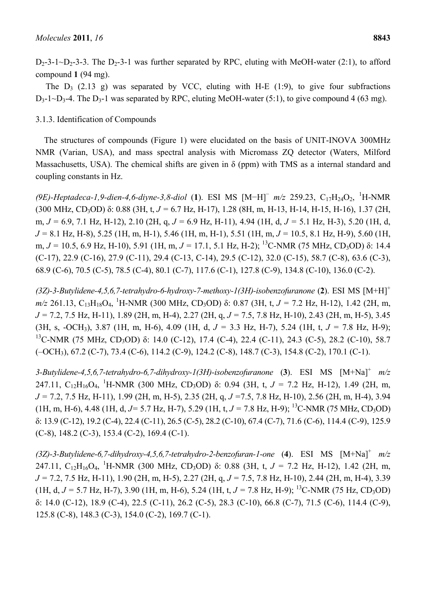$D_2$ -3-1~D<sub>2</sub>-3-3. The D<sub>2</sub>-3-1 was further separated by RPC, eluting with MeOH-water (2:1), to afford compound **1** (94 mg).

The  $D_3$  (2.13 g) was separated by VCC, eluting with H-E (1:9), to give four subfractions  $D_3$ -1~D<sub>3</sub>-4. The D<sub>3</sub>-1 was separated by RPC, eluting MeOH-water (5:1), to give compound 4 (63 mg).

## 3.1.3. Identification of Compounds

The structures of compounds (Figure 1) were elucidated on the basis of UNIT-INOVA 300MHz NMR (Varian, USA), and mass spectral analysis with Micromass ZQ detector (Waters, Milford Massachusetts, USA). The chemical shifts are given in  $\delta$  (ppm) with TMS as a internal standard and coupling constants in Hz.

(9E)-Heptadeca-1,9-dien-4,6-diyne-3,8-diol (1). ESI MS [M-H]<sup>-</sup> m/z 259.23, C<sub>17</sub>H<sub>24</sub>O<sub>2</sub>, <sup>1</sup>H-NMR (300 MHz, CD3OD) δ: 0.88 (3H, t, *J =* 6.7 Hz, H-17), 1.28 (8H, m, H-13, H-14, H-15, H-16), 1.37 (2H, m, *J =* 6.9, 7.1 Hz, H-12), 2.10 (2H, q, *J =* 6.9 Hz, H-11), 4.94 (1H, d, *J =* 5.1 Hz, H-3), 5.20 (1H, d, *J =* 8.1 Hz, H-8), 5.25 (1H, m, H-1), 5.46 (1H, m, H-1), 5.51 (1H, m, *J =* 10.5, 8.1 Hz, H-9), 5.60 (1H, m, *J* = 10.5, 6.9 Hz, H-10), 5.91 (1H, m, *J* = 17.1, 5.1 Hz, H-2); <sup>13</sup>C-NMR (75 MHz, CD<sub>3</sub>OD) δ: 14.4  $(C-17)$ , 22.9  $(C-16)$ , 27.9  $(C-11)$ , 29.4  $(C-13, C-14)$ , 29.5  $(C-12)$ , 32.0  $(C-15)$ , 58.7  $(C-8)$ , 63.6  $(C-3)$ , 68.9 (C-6), 70.5 (C-5), 78.5 (C-4), 80.1 (C-7), 117.6 (C-1), 127.8 (C-9), 134.8 (C-10), 136.0 (C-2).

*(3Z)-3-Butylidene-4,5,6,7-tetrahydro-6-hydroxy-7-methoxy-1(3H)-isobenzofuranone* (**2**). ESI MS [M+H]<sup>+</sup> *m/z* 261.13, C<sub>13</sub>H<sub>18</sub>O<sub>4</sub>, <sup>1</sup>H-NMR (300 MHz, CD<sub>3</sub>OD) δ: 0.87 (3H, t, *J* = 7.2 Hz, H-12), 1.42 (2H, m, *J =* 7.2, 7.5 Hz, H-11), 1.89 (2H, m, H-4), 2.27 (2H, q, *J =* 7.5, 7.8 Hz, H-10), 2.43 (2H, m, H-5), 3.45 (3H, s, -OCH3), 3.87 (1H, m, H-6), 4.09 (1H, d, *J =* 3.3 Hz, H-7), 5.24 (1H, t, *J =* 7.8 Hz, H-9); <sup>13</sup>C-NMR (75 MHz, CD<sub>3</sub>OD) δ: 14.0 (C-12), 17.4 (C-4), 22.4 (C-11), 24.3 (C-5), 28.2 (C-10), 58.7 (–OCH3), 67.2 (C-7), 73.4 (C-6), 114.2 (C-9), 124.2 (C-8), 148.7 (C-3), 154.8 (C-2), 170.1 (C-1).

*3-Butylidene-4,5,6,7-tetrahydro-6,7-dihydroxy-1(3H)-isobenzofuranone* (**3**). ESI MS [M+Na]+ *m/z* 247.11, C12H16O4, <sup>1</sup> H-NMR (300 MHz, CD3OD) δ: 0.94 (3H, t, *J =* 7.2 Hz, H-12), 1.49 (2H, m, *J =* 7.2, 7.5 Hz, H-11), 1.99 (2H, m, H-5), 2.35 (2H, q, *J =*7.5, 7.8 Hz, H-10), 2.56 (2H, m, H-4), 3.94  $(1H, m, H-6)$ , 4.48 (1H, d, *J*= 5.7 Hz, H-7), 5.29 (1H, t, *J* = 7.8 Hz, H-9); <sup>13</sup>C-NMR (75 MHz, CD<sub>3</sub>OD) δ: 13.9 (C-12), 19.2 (C-4), 22.4 (C-11), 26.5 (C-5), 28.2 (C-10), 67.4 (C-7), 71.6 (C-6), 114.4 (C-9), 125.9  $(C-8)$ , 148.2  $(C-3)$ , 153.4  $(C-2)$ , 169.4  $(C-1)$ .

*(3Z)-3-Butylidene-6,7-dihydroxy-4,5,6,7-tetrahydro-2-benzofuran-1-one* (**4**). ESI MS [M+Na]+ *m/z* 247.11, C12H16O4, <sup>1</sup> H-NMR (300 MHz, CD3OD) δ: 0.88 (3H, t, *J =* 7.2 Hz, H-12), 1.42 (2H, m, *J =* 7.2, 7.5 Hz, H-11), 1.90 (2H, m, H-5), 2.27 (2H, q, *J =* 7.5, 7.8 Hz, H-10), 2.44 (2H, m, H-4), 3.39 (1H, d,  $J = 5.7$  Hz, H-7), 3.90 (1H, m, H-6), 5.24 (1H, t,  $J = 7.8$  Hz, H-9); <sup>13</sup>C-NMR (75 Hz, CD<sub>3</sub>OD) δ: 14.0 (C-12), 18.9 (C-4), 22.5 (C-11), 26.2 (C-5), 28.3 (C-10), 66.8 (C-7), 71.5 (C-6), 114.4 (C-9), 125.8 (C-8), 148.3 (C-3), 154.0 (C-2), 169.7 (C-1).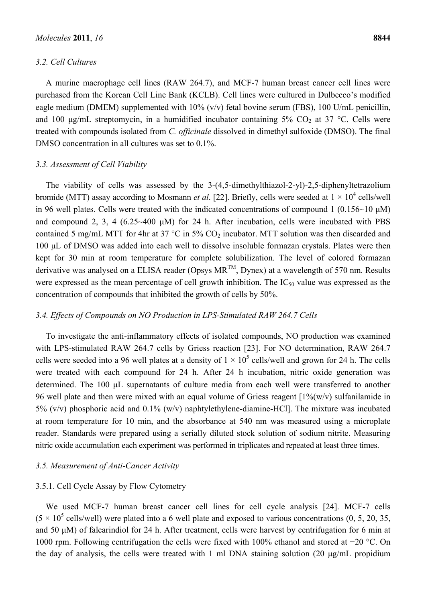#### *3.2. Cell Cultures*

A murine macrophage cell lines (RAW 264.7), and MCF-7 human breast cancer cell lines were purchased from the Korean Cell Line Bank (KCLB). Cell lines were cultured in Dulbecco's modified eagle medium (DMEM) supplemented with 10% (v/v) fetal bovine serum (FBS), 100 U/mL penicillin, and 100 μg/mL streptomycin, in a humidified incubator containing 5%  $CO_2$  at 37 °C. Cells were treated with compounds isolated from *C. officinale* dissolved in dimethyl sulfoxide (DMSO). The final DMSO concentration in all cultures was set to 0.1%.

#### *3.3. Assessment of Cell Viability*

The viability of cells was assessed by the 3-(4,5-dimethylthiazol-2-yl)-2,5-diphenyltetrazolium bromide (MTT) assay according to Mosmann *et al.* [22]. Briefly, cells were seeded at  $1 \times 10^4$  cells/well in 96 well plates. Cells were treated with the indicated concentrations of compound 1 (0.156~10 μM) and compound 2, 3, 4 (6.25~400 μM) for 24 h. After incubation, cells were incubated with PBS contained 5 mg/mL MTT for 4hr at 37  $^{\circ}$ C in 5% CO<sub>2</sub> incubator. MTT solution was then discarded and 100 μL of DMSO was added into each well to dissolve insoluble formazan crystals. Plates were then kept for 30 min at room temperature for complete solubilization. The level of colored formazan derivative was analysed on a ELISA reader (Opsys  $MR^{TM}$ , Dynex) at a wavelength of 570 nm. Results were expressed as the mean percentage of cell growth inhibition. The  $IC_{50}$  value was expressed as the concentration of compounds that inhibited the growth of cells by 50%.

## *3.4. Effects of Compounds on NO Production in LPS-Stimulated RAW 264.7 Cells*

To investigate the anti-inflammatory effects of isolated compounds, NO production was examined with LPS-stimulated RAW 264.7 cells by Griess reaction [23]. For NO determination, RAW 264.7 cells were seeded into a 96 well plates at a density of  $1 \times 10^5$  cells/well and grown for 24 h. The cells were treated with each compound for 24 h. After 24 h incubation, nitric oxide generation was determined. The 100 μL supernatants of culture media from each well were transferred to another 96 well plate and then were mixed with an equal volume of Griess reagent  $[1\% (w/v)$  sulfanilamide in 5% (v/v) phosphoric acid and  $0.1\%$  (w/v) naphtylethylene-diamine-HCl]. The mixture was incubated at room temperature for 10 min, and the absorbance at 540 nm was measured using a microplate reader. Standards were prepared using a serially diluted stock solution of sodium nitrite. Measuring nitric oxide accumulation each experiment was performed in triplicates and repeated at least three times.

#### *3.5. Measurement of Anti-Cancer Activity*

#### 3.5.1. Cell Cycle Assay by Flow Cytometry

We used MCF-7 human breast cancer cell lines for cell cycle analysis [24]. MCF-7 cells  $(5 \times 10^5 \text{ cells/well})$  were plated into a 6 well plate and exposed to various concentrations (0, 5, 20, 35, and 50 μM) of falcarindiol for 24 h. After treatment, cells were harvest by centrifugation for 6 min at 1000 rpm. Following centrifugation the cells were fixed with 100% ethanol and stored at −20 °C. On the day of analysis, the cells were treated with 1 ml DNA staining solution (20 μg/mL propidium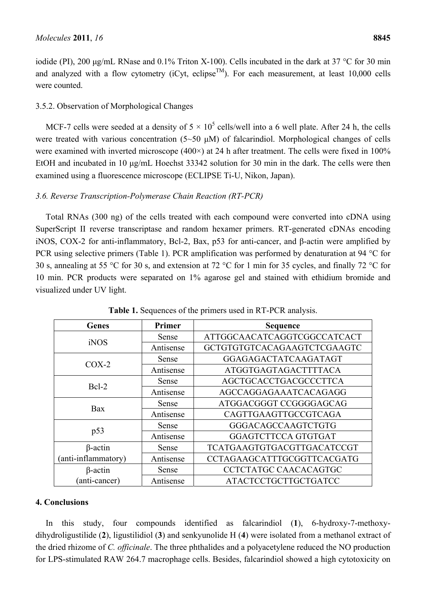iodide (PI), 200 μg/mL RNase and 0.1% Triton X-100). Cells incubated in the dark at 37 °C for 30 min and analyzed with a flow cytometry (iCyt, eclipse<sup>TM</sup>). For each measurement, at least 10,000 cells were counted.

# 3.5.2. Observation of Morphological Changes

MCF-7 cells were seeded at a density of  $5 \times 10^5$  cells/well into a 6 well plate. After 24 h, the cells were treated with various concentration  $(5-50 \mu M)$  of falcarindiol. Morphological changes of cells were examined with inverted microscope (400×) at 24 h after treatment. The cells were fixed in 100% EtOH and incubated in 10 μg/mL Hoechst 33342 solution for 30 min in the dark. The cells were then examined using a fluorescence microscope (ECLIPSE Ti-U, Nikon, Japan).

# *3.6. Reverse Transcription-Polymerase Chain Reaction (RT-PCR)*

Total RNAs (300 ng) of the cells treated with each compound were converted into cDNA using SuperScript II reverse transcriptase and random hexamer primers. RT-generated cDNAs encoding iNOS, COX-2 for anti-inflammatory, Bcl-2, Bax, p53 for anti-cancer, and β-actin were amplified by PCR using selective primers (Table 1). PCR amplification was performed by denaturation at 94 °C for 30 s, annealing at 55 °C for 30 s, and extension at 72 °C for 1 min for 35 cycles, and finally 72 °C for 10 min. PCR products were separated on 1% agarose gel and stained with ethidium bromide and visualized under UV light.

| Genes               | Primer    | <b>Sequence</b>                   |
|---------------------|-----------|-----------------------------------|
| iNOS                | Sense     | ATTGGCAACATCAGGTCGGCCATCACT       |
|                     | Antisense | GCTGTGTGTCACAGAAGTCTCGAAGTC       |
| $COX-2$             | Sense     | GGAGAGACTATCAAGATAGT              |
|                     | Antisense | ATGGTGAGTAGACTTTTACA              |
| $Bcl-2$             | Sense     | AGCTGCACCTGACGCCCTTCA             |
|                     | Antisense | AGCCAGGAGAAATCACAGAGG             |
| Bax                 | Sense     | ATGGACGGGT CCGGGGAGCAG            |
|                     | Antisense | CAGTTGAAGTTGCCGTCAGA              |
| p53                 | Sense     | GGGACAGCCAAGTCTGTG                |
|                     | Antisense | GGAGTCTTCCA GTGTGAT               |
| $\beta$ -actin      | Sense     | <b>TCATGAAGTGTGACGTTGACATCCGT</b> |
| (anti-inflammatory) | Antisense | <b>CCTAGAAGCATTTGCGGTTCACGATG</b> |
| $\beta$ -actin      | Sense     | CCTCTATGC CAACACAGTGC             |
| (anti-cancer)       | Antisense | <b>ATACTCCTGCTTGCTGATCC</b>       |

**Table 1.** Sequences of the primers used in RT-PCR analysis.

# **4. Conclusions**

In this study, four compounds identified as falcarindiol (**1**), 6-hydroxy-7-methoxydihydroligustilide (**2**), ligustilidiol (**3**) and senkyunolide H (**4**) were isolated from a methanol extract of the dried rhizome of *C. officinale*. The three phthalides and a polyacetylene reduced the NO production for LPS-stimulated RAW 264.7 macrophage cells. Besides, falcarindiol showed a high cytotoxicity on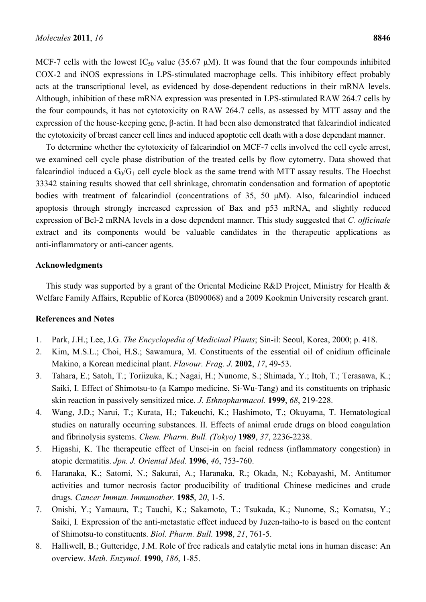MCF-7 cells with the lowest IC<sub>50</sub> value (35.67  $\mu$ M). It was found that the four compounds inhibited COX-2 and iNOS expressions in LPS-stimulated macrophage cells. This inhibitory effect probably acts at the transcriptional level, as evidenced by dose-dependent reductions in their mRNA levels. Although, inhibition of these mRNA expression was presented in LPS-stimulated RAW 264.7 cells by the four compounds, it has not cytotoxicity on RAW 264.7 cells, as assessed by MTT assay and the expression of the house-keeping gene, β-actin. It had been also demonstrated that falcarindiol indicated the cytotoxicity of breast cancer cell lines and induced apoptotic cell death with a dose dependant manner.

To determine whether the cytotoxicity of falcarindiol on MCF-7 cells involved the cell cycle arrest, we examined cell cycle phase distribution of the treated cells by flow cytometry. Data showed that falcarindiol induced a  $G_0/G_1$  cell cycle block as the same trend with MTT assay results. The Hoechst 33342 staining results showed that cell shrinkage, chromatin condensation and formation of apoptotic bodies with treatment of falcarindiol (concentrations of 35, 50 μM). Also, falcarindiol induced apoptosis through strongly increased expression of Bax and p53 mRNA, and slightly reduced expression of Bcl-2 mRNA levels in a dose dependent manner. This study suggested that *C. officinale* extract and its components would be valuable candidates in the therapeutic applications as anti-inflammatory or anti-cancer agents.

#### **Acknowledgments**

This study was supported by a grant of the Oriental Medicine R&D Project, Ministry for Health & Welfare Family Affairs, Republic of Korea (B090068) and a 2009 Kookmin University research grant.

#### **References and Notes**

- 1. Park, J.H.; Lee, J.G. *The Encyclopedia of Medicinal Plants*; Sin-il: Seoul, Korea, 2000; p. 418.
- 2. Kim, M.S.L.; Choi, H.S.; Sawamura, M. Constituents of the essential oil of cnidium officinale Makino, a Korean medicinal plant. *Flavour. Frag. J.* **2002**, *17*, 49-53.
- 3. Tahara, E.; Satoh, T.; Toriizuka, K.; Nagai, H.; Nunome, S.; Shimada, Y.; Itoh, T.; Terasawa, K.; Saiki, I. Effect of Shimotsu-to (a Kampo medicine, Si-Wu-Tang) and its constituents on triphasic skin reaction in passively sensitized mice. *J. Ethnopharmacol.* **1999**, *68*, 219-228.
- 4. Wang, J.D.; Narui, T.; Kurata, H.; Takeuchi, K.; Hashimoto, T.; Okuyama, T. Hematological studies on naturally occurring substances. II. Effects of animal crude drugs on blood coagulation and fibrinolysis systems. *Chem. Pharm. Bull. (Tokyo)* **1989**, *37*, 2236-2238.
- 5. Higashi, K. The therapeutic effect of Unsei-in on facial redness (inflammatory congestion) in atopic dermatitis. *Jpn. J. Oriental Med.* **1996**, *46*, 753-760.
- 6. Haranaka, K.; Satomi, N.; Sakurai, A.; Haranaka, R.; Okada, N.; Kobayashi, M. Antitumor activities and tumor necrosis factor producibility of traditional Chinese medicines and crude drugs. *Cancer Immun. Immunother.* **1985**, *20*, 1-5.
- 7. Onishi, Y.; Yamaura, T.; Tauchi, K.; Sakamoto, T.; Tsukada, K.; Nunome, S.; Komatsu, Y.; Saiki, I. Expression of the anti-metastatic effect induced by Juzen-taiho-to is based on the content of Shimotsu-to constituents. *Biol. Pharm. Bull.* **1998**, *21*, 761-5.
- 8. Halliwell, B.; Gutteridge, J.M. Role of free radicals and catalytic metal ions in human disease: An overview. *Meth. Enzymol.* **1990**, *186*, 1-85.